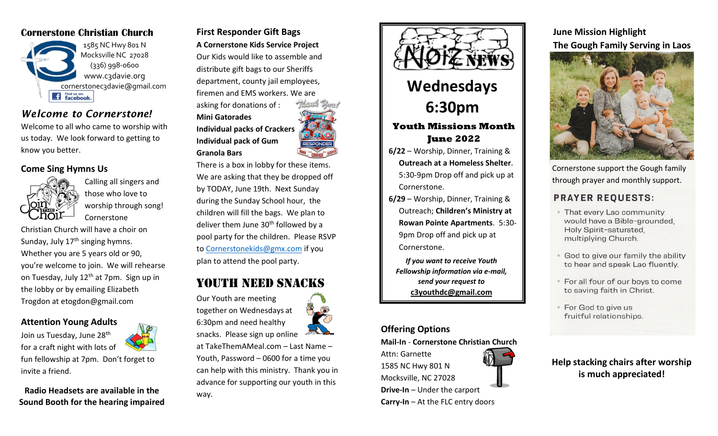# **Cornerstone Christian Church**



# *Welcome to Cornerstone!*

Welcome to all who came to worship with us today. We look forward to getting to know you better.

### **Come Sing Hymns Us**



Calling all singers and those who love to worship through song! Cornerstone

Christian Church will have a choir on Sunday, July  $17<sup>th</sup>$  singing hymns. Whether you are 5 years old or 90, you're welcome to join. We will rehearse on Tuesday, July 12<sup>th</sup> at 7pm. Sign up in the lobby or by emailing Elizabeth Trogdon at etogdon@gmail.com

**Attention Young Adults**



fun fellowship at 7pm. Don't forget to invite a friend.

**Radio Headsets are available in the Sound Booth for the hearing impaired**

**First Responder Gift Bags A Cornerstone Kids Service Project** Our Kids would like to assemble and distribute gift bags to our Sheriffs department, county jail employees, firemen and EMS workers. We are asking for donations of :

**Mini Gatorades Individual packs of Crackers Individual pack of Gum Granola Bars**

There is a box in lobby for these items. We are asking that they be dropped off by TODAY, June 19th. Next Sunday during the Sunday School hour, the children will fill the bags. We plan to deliver them June  $30<sup>th</sup>$  followed by a pool party for the children. Please RSVP to [Cornerstonekids@gmx.com](mailto:Cornerstonekids@gmx.com) if you plan to attend the pool party.

# YOUTH NEED SNACKS

Our Youth are meeting together on Wednesdays at 6:30pm and need healthy snacks. Please sign up online

at TakeThemAMeal.com – Last Name – Youth, Password – 0600 for a time you can help with this ministry. Thank you in advance for supporting our youth in this way.



5:30-9pm Drop off and pick up at Cornerstone.

**6/29** – Worship, Dinner, Training & Outreach; **Children's Ministry at Rowan Pointe Apartments**. 5:30- 9pm Drop off and pick up at Cornerstone.

*If you want to receive Youth Fellowship information via e-mail, send your request to*  **c3youthdc@gmail.com**

#### **Offering Options**

**Mail-In** - **Cornerstone Christian Church**  Attn: Garnette 1585 NC Hwy 801 N Mocksville, NC 27028 **Drive-In** – Under the carport **Carry-In** – At the FLC entry doors

**June Mission Highlight The Gough Family Serving in Laos**



Cornerstone support the Gough family through prayer and monthly support.

## **PRAYER REQUESTS:**

- That every Lao community would have a Bible-grounded, Holy Spirit-saturated, multiplying Church.
- God to give our family the ability to hear and speak Lao fluently.
- . For all four of our boys to come to saving faith in Christ.
- For God to give us fruitful relationships.

**Help stacking chairs after worship is much appreciated!**